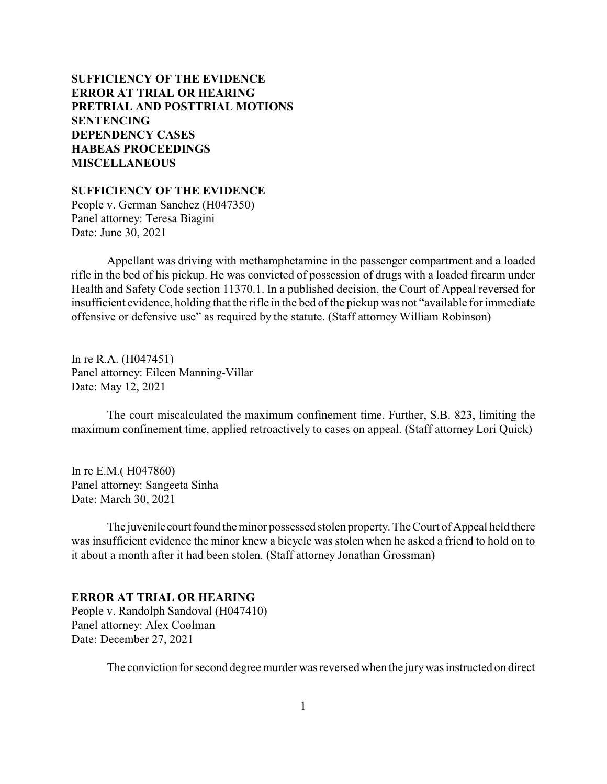# **SUFFICIENCY OF THE EVIDENCE ERROR AT TRIAL OR HEARING [PRETRIAL AND POSTTRIAL MOTIONS](#page-3-0) [SENTENCING](#page-7-0) [DEPENDENCY CASES](#page-20-0) [HABEAS PROCEEDINGS](#page-22-0) [MISCELLANEOUS](#page-23-0)**

**SUFFICIENCY OF THE EVIDENCE**

People v. German Sanchez (H047350) Panel attorney: Teresa Biagini Date: June 30, 2021

Appellant was driving with methamphetamine in the passenger compartment and a loaded rifle in the bed of his pickup. He was convicted of possession of drugs with a loaded firearm under Health and Safety Code section 11370.1. In a published decision, the Court of Appeal reversed for insufficient evidence, holding that the rifle in the bed of the pickup was not "available for immediate offensive or defensive use" as required by the statute. (Staff attorney William Robinson)

In re R.A. (H047451) Panel attorney: Eileen Manning-Villar Date: May 12, 2021

The court miscalculated the maximum confinement time. Further, S.B. 823, limiting the maximum confinement time, applied retroactively to cases on appeal. (Staff attorney Lori Quick)

In re E.M.( H047860) Panel attorney: Sangeeta Sinha Date: March 30, 2021

The juvenile court found the minor possessed stolen property. The Court of Appeal held there was insufficient evidence the minor knew a bicycle was stolen when he asked a friend to hold on to it about a month after it had been stolen. (Staff attorney Jonathan Grossman)

### **ERROR AT TRIAL OR HEARING**

People v. Randolph Sandoval (H047410) Panel attorney: Alex Coolman Date: December 27, 2021

The conviction for second degree murder was reversed when the jurywas instructed on direct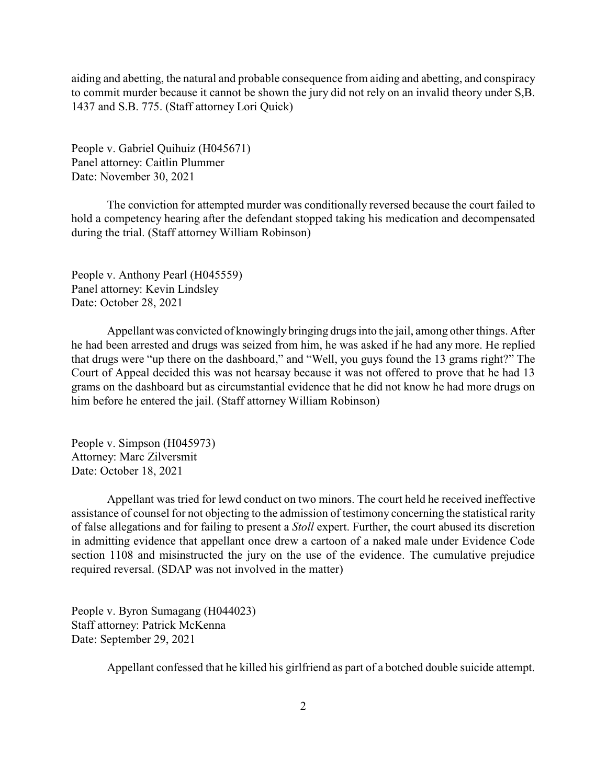aiding and abetting, the natural and probable consequence from aiding and abetting, and conspiracy to commit murder because it cannot be shown the jury did not rely on an invalid theory under S,B. 1437 and S.B. 775. (Staff attorney Lori Quick)

People v. Gabriel Quihuiz (H045671) Panel attorney: Caitlin Plummer Date: November 30, 2021

The conviction for attempted murder was conditionally reversed because the court failed to hold a competency hearing after the defendant stopped taking his medication and decompensated during the trial. (Staff attorney William Robinson)

People v. Anthony Pearl (H045559) Panel attorney: Kevin Lindsley Date: October 28, 2021

Appellant was convicted of knowingly bringing drugs into the jail, among other things. After he had been arrested and drugs was seized from him, he was asked if he had any more. He replied that drugs were "up there on the dashboard," and "Well, you guys found the 13 grams right?" The Court of Appeal decided this was not hearsay because it was not offered to prove that he had 13 grams on the dashboard but as circumstantial evidence that he did not know he had more drugs on him before he entered the jail. (Staff attorney William Robinson)

People v. Simpson (H045973) Attorney: Marc Zilversmit Date: October 18, 2021

Appellant was tried for lewd conduct on two minors. The court held he received ineffective assistance of counsel for not objecting to the admission of testimony concerning the statistical rarity of false allegations and for failing to present a *Stoll* expert. Further, the court abused its discretion in admitting evidence that appellant once drew a cartoon of a naked male under Evidence Code section 1108 and misinstructed the jury on the use of the evidence. The cumulative prejudice required reversal. (SDAP was not involved in the matter)

People v. Byron Sumagang (H044023) Staff attorney: Patrick McKenna Date: September 29, 2021

Appellant confessed that he killed his girlfriend as part of a botched double suicide attempt.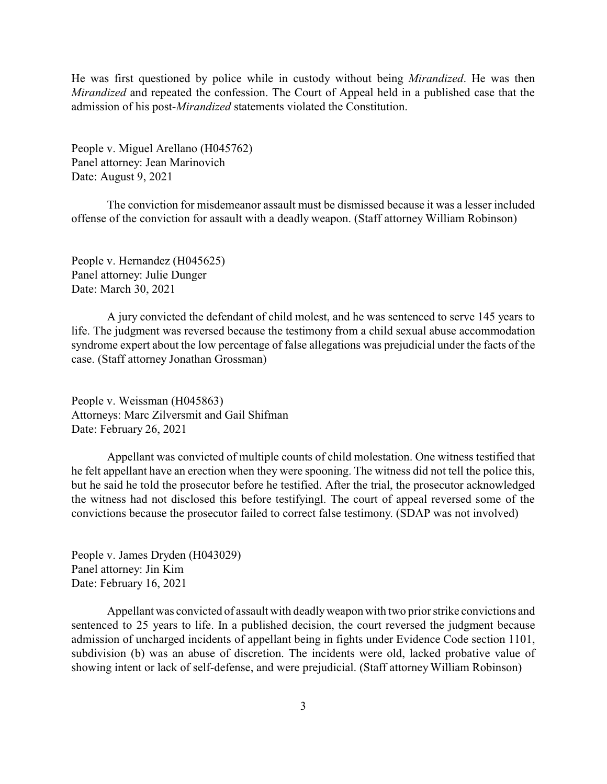He was first questioned by police while in custody without being *Mirandized*. He was then *Mirandized* and repeated the confession. The Court of Appeal held in a published case that the admission of his post-*Mirandized* statements violated the Constitution.

People v. Miguel Arellano (H045762) Panel attorney: Jean Marinovich Date: August 9, 2021

The conviction for misdemeanor assault must be dismissed because it was a lesser included offense of the conviction for assault with a deadly weapon. (Staff attorney William Robinson)

People v. Hernandez (H045625) Panel attorney: Julie Dunger Date: March 30, 2021

A jury convicted the defendant of child molest, and he was sentenced to serve 145 years to life. The judgment was reversed because the testimony from a child sexual abuse accommodation syndrome expert about the low percentage of false allegations was prejudicial under the facts of the case. (Staff attorney Jonathan Grossman)

People v. Weissman (H045863) Attorneys: Marc Zilversmit and Gail Shifman Date: February 26, 2021

Appellant was convicted of multiple counts of child molestation. One witness testified that he felt appellant have an erection when they were spooning. The witness did not tell the police this, but he said he told the prosecutor before he testified. After the trial, the prosecutor acknowledged the witness had not disclosed this before testifyingl. The court of appeal reversed some of the convictions because the prosecutor failed to correct false testimony. (SDAP was not involved)

People v. James Dryden (H043029) Panel attorney: Jin Kim Date: February 16, 2021

Appellant was convicted of assault with deadlyweapon with two prior strike convictions and sentenced to 25 years to life. In a published decision, the court reversed the judgment because admission of uncharged incidents of appellant being in fights under Evidence Code section 1101, subdivision (b) was an abuse of discretion. The incidents were old, lacked probative value of showing intent or lack of self-defense, and were prejudicial. (Staff attorney William Robinson)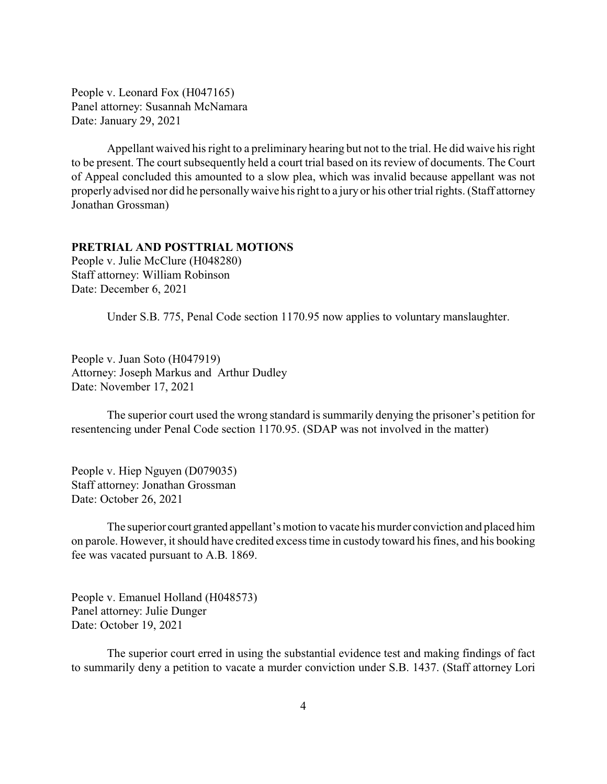<span id="page-3-0"></span>People v. Leonard Fox (H047165) Panel attorney: Susannah McNamara Date: January 29, 2021

Appellant waived his right to a preliminary hearing but not to the trial. He did waive his right to be present. The court subsequently held a court trial based on its review of documents. The Court of Appeal concluded this amounted to a slow plea, which was invalid because appellant was not properly advised nor did he personallywaive his right to a juryor his other trial rights. (Staff attorney Jonathan Grossman)

### **PRETRIAL AND POSTTRIAL MOTIONS**

People v. Julie McClure (H048280) Staff attorney: William Robinson Date: December 6, 2021

Under S.B. 775, Penal Code section 1170.95 now applies to voluntary manslaughter.

People v. Juan Soto (H047919) Attorney: Joseph Markus and Arthur Dudley Date: November 17, 2021

The superior court used the wrong standard is summarily denying the prisoner's petition for resentencing under Penal Code section 1170.95. (SDAP was not involved in the matter)

People v. Hiep Nguyen (D079035) Staff attorney: Jonathan Grossman Date: October 26, 2021

The superior court granted appellant's motion to vacate his murder conviction and placed him on parole. However, it should have credited excess time in custody toward his fines, and his booking fee was vacated pursuant to A.B. 1869.

People v. Emanuel Holland (H048573) Panel attorney: Julie Dunger Date: October 19, 2021

The superior court erred in using the substantial evidence test and making findings of fact to summarily deny a petition to vacate a murder conviction under S.B. 1437. (Staff attorney Lori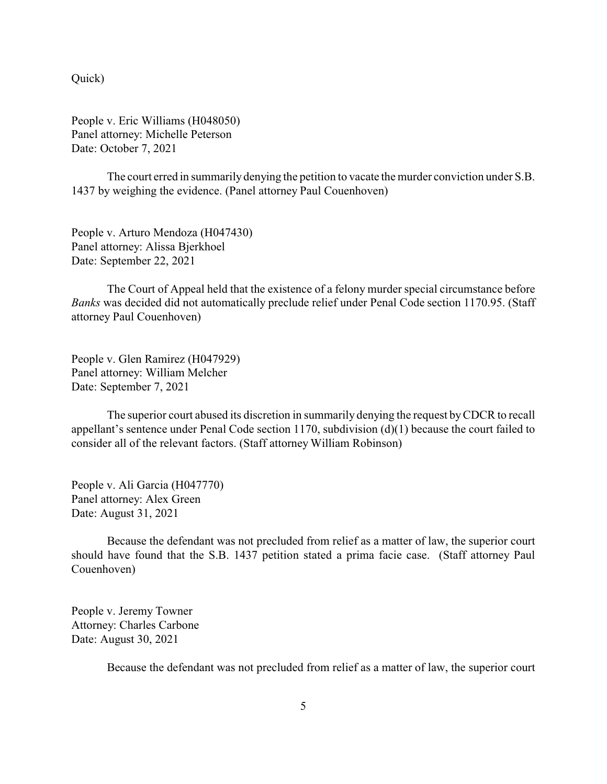Quick)

People v. Eric Williams (H048050) Panel attorney: Michelle Peterson Date: October 7, 2021

The court erred in summarily denying the petition to vacate the murder conviction under S.B. 1437 by weighing the evidence. (Panel attorney Paul Couenhoven)

People v. Arturo Mendoza (H047430) Panel attorney: Alissa Bjerkhoel Date: September 22, 2021

The Court of Appeal held that the existence of a felony murder special circumstance before *Banks* was decided did not automatically preclude relief under Penal Code section 1170.95. (Staff attorney Paul Couenhoven)

People v. Glen Ramirez (H047929) Panel attorney: William Melcher Date: September 7, 2021

The superior court abused its discretion in summarily denying the request byCDCR to recall appellant's sentence under Penal Code section 1170, subdivision (d)(1) because the court failed to consider all of the relevant factors. (Staff attorney William Robinson)

People v. Ali Garcia (H047770) Panel attorney: Alex Green Date: August 31, 2021

Because the defendant was not precluded from relief as a matter of law, the superior court should have found that the S.B. 1437 petition stated a prima facie case. (Staff attorney Paul Couenhoven)

People v. Jeremy Towner Attorney: Charles Carbone Date: August 30, 2021

Because the defendant was not precluded from relief as a matter of law, the superior court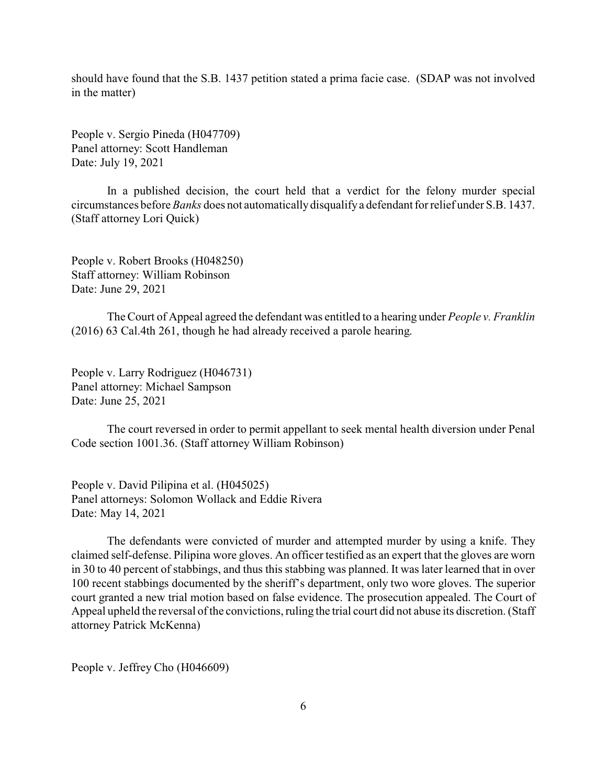should have found that the S.B. 1437 petition stated a prima facie case. (SDAP was not involved in the matter)

People v. Sergio Pineda (H047709) Panel attorney: Scott Handleman Date: July 19, 2021

In a published decision, the court held that a verdict for the felony murder special circumstances before *Banks* does not automaticallydisqualifya defendant for relief under S.B. 1437. (Staff attorney Lori Quick)

People v. Robert Brooks (H048250) Staff attorney: William Robinson Date: June 29, 2021

The Court of Appeal agreed the defendant was entitled to a hearing under *People v. Franklin* (2016) 63 Cal.4th 261, though he had already received a parole hearing.

People v. Larry Rodriguez (H046731) Panel attorney: Michael Sampson Date: June 25, 2021

The court reversed in order to permit appellant to seek mental health diversion under Penal Code section 1001.36. (Staff attorney William Robinson)

People v. David Pilipina et al. (H045025) Panel attorneys: Solomon Wollack and Eddie Rivera Date: May 14, 2021

The defendants were convicted of murder and attempted murder by using a knife. They claimed self-defense. Pilipina wore gloves. An officer testified as an expert that the gloves are worn in 30 to 40 percent of stabbings, and thus this stabbing was planned. It was later learned that in over 100 recent stabbings documented by the sheriff's department, only two wore gloves. The superior court granted a new trial motion based on false evidence. The prosecution appealed. The Court of Appeal upheld the reversal of the convictions, ruling the trial court did not abuse its discretion. (Staff attorney Patrick McKenna)

People v. Jeffrey Cho (H046609)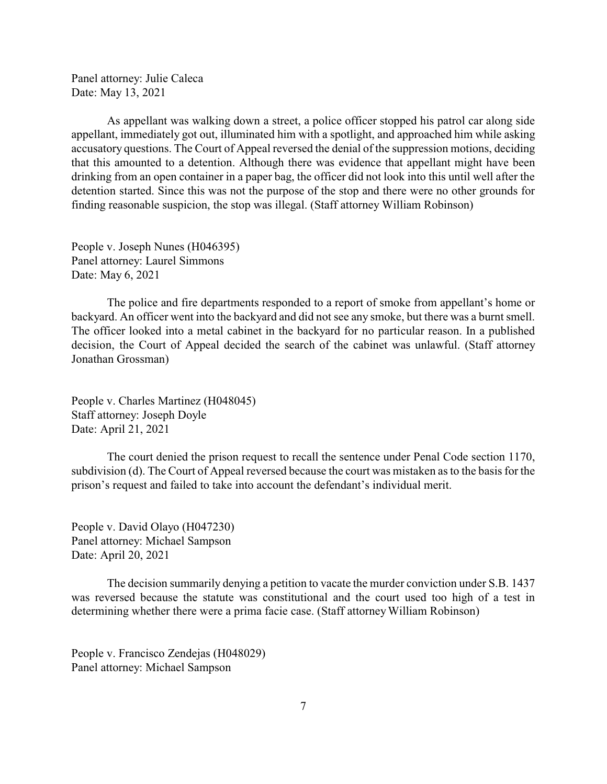Panel attorney: Julie Caleca Date: May 13, 2021

As appellant was walking down a street, a police officer stopped his patrol car along side appellant, immediately got out, illuminated him with a spotlight, and approached him while asking accusatory questions. The Court of Appeal reversed the denial of the suppression motions, deciding that this amounted to a detention. Although there was evidence that appellant might have been drinking from an open container in a paper bag, the officer did not look into this until well after the detention started. Since this was not the purpose of the stop and there were no other grounds for finding reasonable suspicion, the stop was illegal. (Staff attorney William Robinson)

People v. Joseph Nunes (H046395) Panel attorney: Laurel Simmons Date: May 6, 2021

The police and fire departments responded to a report of smoke from appellant's home or backyard. An officer went into the backyard and did not see any smoke, but there was a burnt smell. The officer looked into a metal cabinet in the backyard for no particular reason. In a published decision, the Court of Appeal decided the search of the cabinet was unlawful. (Staff attorney Jonathan Grossman)

People v. Charles Martinez (H048045) Staff attorney: Joseph Doyle Date: April 21, 2021

The court denied the prison request to recall the sentence under Penal Code section 1170, subdivision (d). The Court of Appeal reversed because the court was mistaken as to the basis for the prison's request and failed to take into account the defendant's individual merit.

People v. David Olayo (H047230) Panel attorney: Michael Sampson Date: April 20, 2021

The decision summarily denying a petition to vacate the murder conviction under S.B. 1437 was reversed because the statute was constitutional and the court used too high of a test in determining whether there were a prima facie case. (Staff attorney William Robinson)

People v. Francisco Zendejas (H048029) Panel attorney: Michael Sampson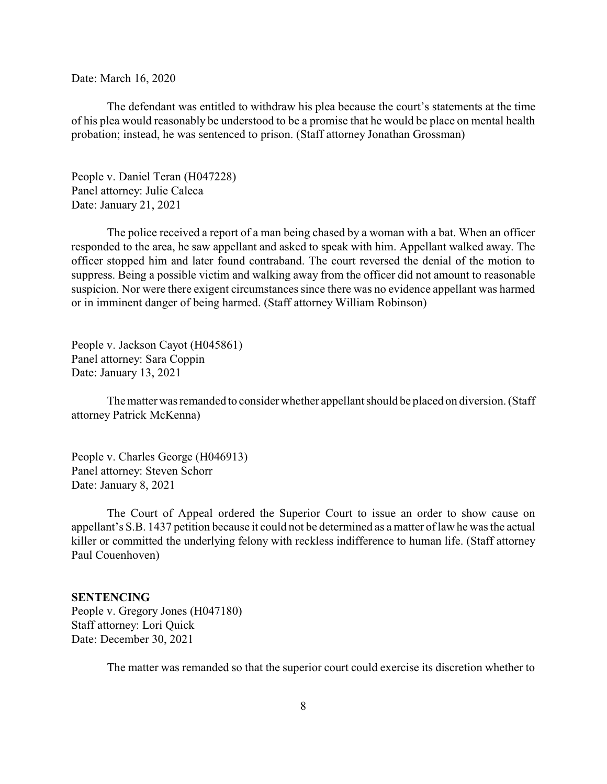<span id="page-7-0"></span>Date: March 16, 2020

The defendant was entitled to withdraw his plea because the court's statements at the time of his plea would reasonably be understood to be a promise that he would be place on mental health probation; instead, he was sentenced to prison. (Staff attorney Jonathan Grossman)

People v. Daniel Teran (H047228) Panel attorney: Julie Caleca Date: January 21, 2021

The police received a report of a man being chased by a woman with a bat. When an officer responded to the area, he saw appellant and asked to speak with him. Appellant walked away. The officer stopped him and later found contraband. The court reversed the denial of the motion to suppress. Being a possible victim and walking away from the officer did not amount to reasonable suspicion. Nor were there exigent circumstances since there was no evidence appellant was harmed or in imminent danger of being harmed. (Staff attorney William Robinson)

People v. Jackson Cayot (H045861) Panel attorney: Sara Coppin Date: January 13, 2021

The matter was remanded to consider whether appellant should be placed on diversion. (Staff attorney Patrick McKenna)

People v. Charles George (H046913) Panel attorney: Steven Schorr Date: January 8, 2021

The Court of Appeal ordered the Superior Court to issue an order to show cause on appellant's S.B. 1437 petition because it could not be determined as a matter of law he was the actual killer or committed the underlying felony with reckless indifference to human life. (Staff attorney Paul Couenhoven)

#### **SENTENCING**

People v. Gregory Jones (H047180) Staff attorney: Lori Quick Date: December 30, 2021

The matter was remanded so that the superior court could exercise its discretion whether to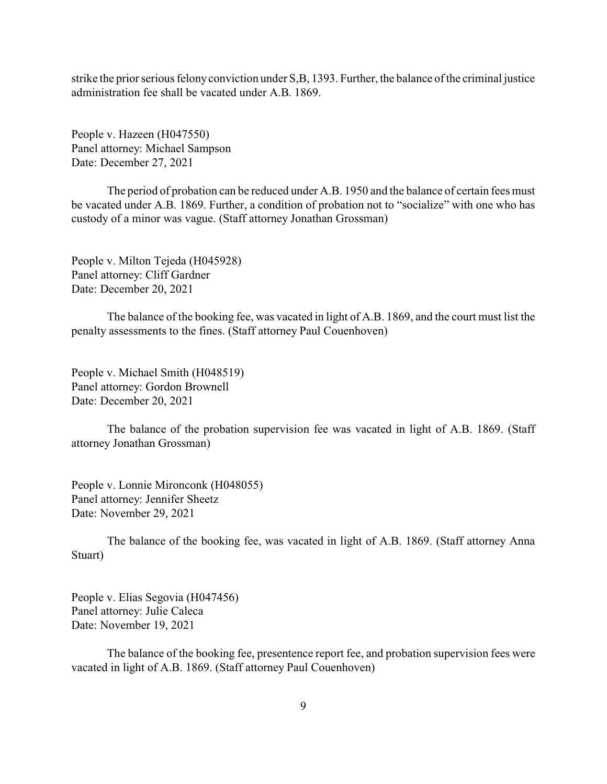strike the prior serious felonyconviction under S,B, 1393. Further, the balance of the criminal justice administration fee shall be vacated under A.B. 1869.

People v. Hazeen (H047550) Panel attorney: Michael Sampson Date: December 27, 2021

The period of probation can be reduced under A.B. 1950 and the balance of certain fees must be vacated under A.B. 1869. Further, a condition of probation not to "socialize" with one who has custody of a minor was vague. (Staff attorney Jonathan Grossman)

People v. Milton Tejeda (H045928) Panel attorney: Cliff Gardner Date: December 20, 2021

The balance of the booking fee, was vacated in light of A.B. 1869, and the court must list the penalty assessments to the fines. (Staff attorney Paul Couenhoven)

People v. Michael Smith (H048519) Panel attorney: Gordon Brownell Date: December 20, 2021

The balance of the probation supervision fee was vacated in light of A.B. 1869. (Staff attorney Jonathan Grossman)

People v. Lonnie Mironconk (H048055) Panel attorney: Jennifer Sheetz Date: November 29, 2021

The balance of the booking fee, was vacated in light of A.B. 1869. (Staff attorney Anna Stuart)

People v. Elias Segovia (H047456) Panel attorney: Julie Caleca Date: November 19, 2021

The balance of the booking fee, presentence report fee, and probation supervision fees were vacated in light of A.B. 1869. (Staff attorney Paul Couenhoven)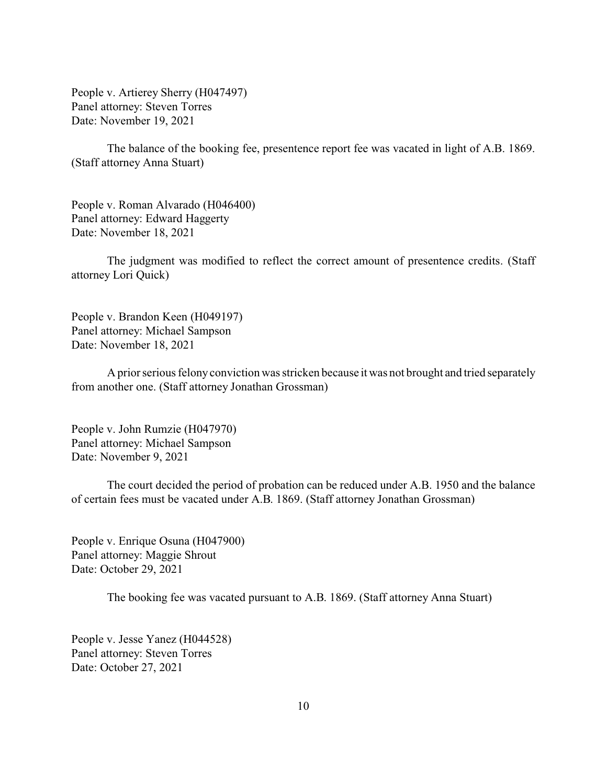People v. Artierey Sherry (H047497) Panel attorney: Steven Torres Date: November 19, 2021

The balance of the booking fee, presentence report fee was vacated in light of A.B. 1869. (Staff attorney Anna Stuart)

People v. Roman Alvarado (H046400) Panel attorney: Edward Haggerty Date: November 18, 2021

The judgment was modified to reflect the correct amount of presentence credits. (Staff attorney Lori Quick)

People v. Brandon Keen (H049197) Panel attorney: Michael Sampson Date: November 18, 2021

A prior serious felony conviction was stricken because it was not brought and tried separately from another one. (Staff attorney Jonathan Grossman)

People v. John Rumzie (H047970) Panel attorney: Michael Sampson Date: November 9, 2021

The court decided the period of probation can be reduced under A.B. 1950 and the balance of certain fees must be vacated under A.B. 1869. (Staff attorney Jonathan Grossman)

People v. Enrique Osuna (H047900) Panel attorney: Maggie Shrout Date: October 29, 2021

The booking fee was vacated pursuant to A.B. 1869. (Staff attorney Anna Stuart)

People v. Jesse Yanez (H044528) Panel attorney: Steven Torres Date: October 27, 2021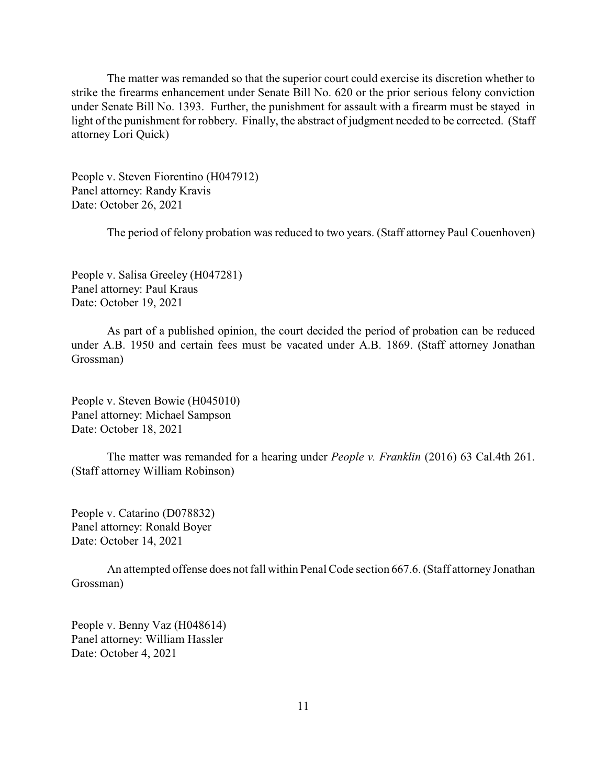The matter was remanded so that the superior court could exercise its discretion whether to strike the firearms enhancement under Senate Bill No. 620 or the prior serious felony conviction under Senate Bill No. 1393. Further, the punishment for assault with a firearm must be stayed in light of the punishment for robbery. Finally, the abstract of judgment needed to be corrected. (Staff attorney Lori Quick)

People v. Steven Fiorentino (H047912) Panel attorney: Randy Kravis Date: October 26, 2021

The period of felony probation was reduced to two years. (Staff attorney Paul Couenhoven)

People v. Salisa Greeley (H047281) Panel attorney: Paul Kraus Date: October 19, 2021

As part of a published opinion, the court decided the period of probation can be reduced under A.B. 1950 and certain fees must be vacated under A.B. 1869. (Staff attorney Jonathan Grossman)

People v. Steven Bowie (H045010) Panel attorney: Michael Sampson Date: October 18, 2021

The matter was remanded for a hearing under *People v. Franklin* (2016) 63 Cal.4th 261. (Staff attorney William Robinson)

People v. Catarino (D078832) Panel attorney: Ronald Boyer Date: October 14, 2021

An attempted offense does not fall within Penal Code section 667.6. (Staff attorney Jonathan Grossman)

People v. Benny Vaz (H048614) Panel attorney: William Hassler Date: October 4, 2021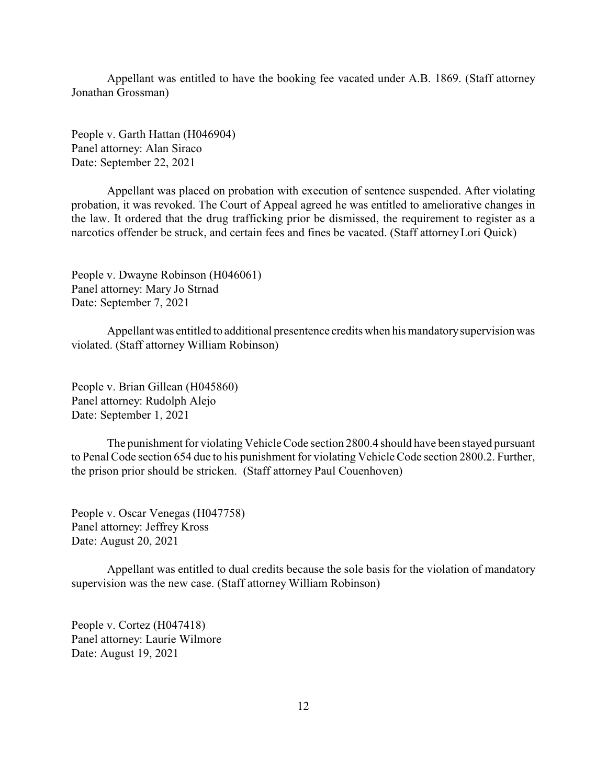Appellant was entitled to have the booking fee vacated under A.B. 1869. (Staff attorney Jonathan Grossman)

People v. Garth Hattan (H046904) Panel attorney: Alan Siraco Date: September 22, 2021

Appellant was placed on probation with execution of sentence suspended. After violating probation, it was revoked. The Court of Appeal agreed he was entitled to ameliorative changes in the law. It ordered that the drug trafficking prior be dismissed, the requirement to register as a narcotics offender be struck, and certain fees and fines be vacated. (Staff attorney Lori Quick)

People v. Dwayne Robinson (H046061) Panel attorney: Mary Jo Strnad Date: September 7, 2021

Appellant was entitled to additional presentence credits when his mandatorysupervision was violated. (Staff attorney William Robinson)

People v. Brian Gillean (H045860) Panel attorney: Rudolph Alejo Date: September 1, 2021

The punishment for violating Vehicle Code section 2800.4 should have been stayed pursuant to Penal Code section 654 due to his punishment for violating Vehicle Code section 2800.2. Further, the prison prior should be stricken. (Staff attorney Paul Couenhoven)

People v. Oscar Venegas (H047758) Panel attorney: Jeffrey Kross Date: August 20, 2021

Appellant was entitled to dual credits because the sole basis for the violation of mandatory supervision was the new case. (Staff attorney William Robinson)

People v. Cortez (H047418) Panel attorney: Laurie Wilmore Date: August 19, 2021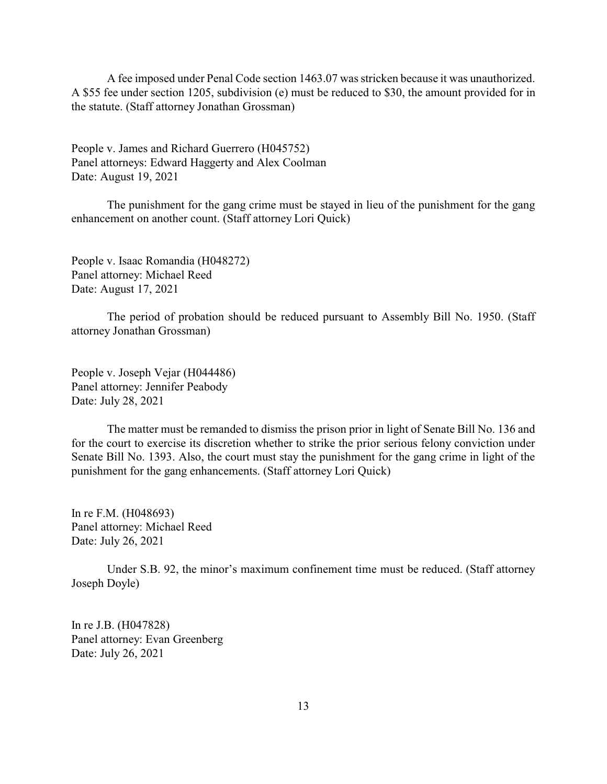A fee imposed under Penal Code section 1463.07 was stricken because it was unauthorized. A \$55 fee under section 1205, subdivision (e) must be reduced to \$30, the amount provided for in the statute. (Staff attorney Jonathan Grossman)

People v. James and Richard Guerrero (H045752) Panel attorneys: Edward Haggerty and Alex Coolman Date: August 19, 2021

The punishment for the gang crime must be stayed in lieu of the punishment for the gang enhancement on another count. (Staff attorney Lori Quick)

People v. Isaac Romandia (H048272) Panel attorney: Michael Reed Date: August 17, 2021

The period of probation should be reduced pursuant to Assembly Bill No. 1950. (Staff attorney Jonathan Grossman)

People v. Joseph Vejar (H044486) Panel attorney: Jennifer Peabody Date: July 28, 2021

The matter must be remanded to dismiss the prison prior in light of Senate Bill No. 136 and for the court to exercise its discretion whether to strike the prior serious felony conviction under Senate Bill No. 1393. Also, the court must stay the punishment for the gang crime in light of the punishment for the gang enhancements. (Staff attorney Lori Quick)

In re F.M. (H048693) Panel attorney: Michael Reed Date: July 26, 2021

Under S.B. 92, the minor's maximum confinement time must be reduced. (Staff attorney Joseph Doyle)

In re J.B. (H047828) Panel attorney: Evan Greenberg Date: July 26, 2021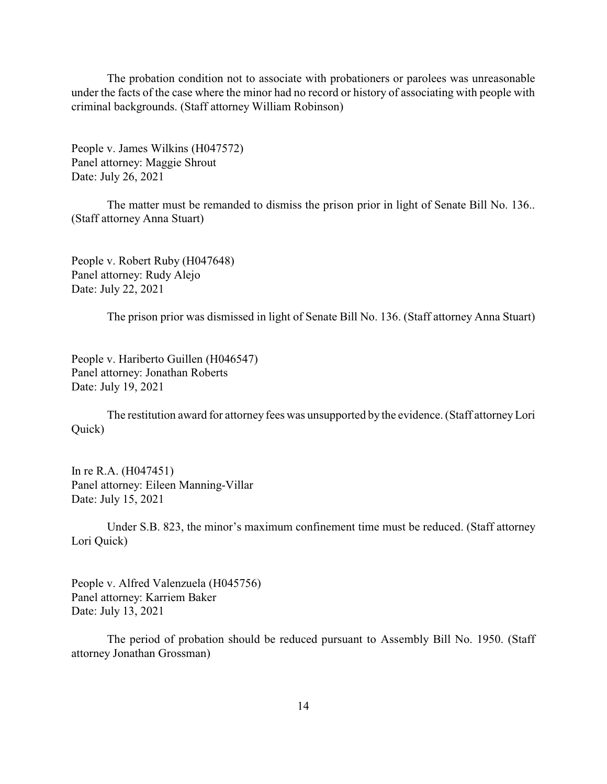The probation condition not to associate with probationers or parolees was unreasonable under the facts of the case where the minor had no record or history of associating with people with criminal backgrounds. (Staff attorney William Robinson)

People v. James Wilkins (H047572) Panel attorney: Maggie Shrout Date: July 26, 2021

The matter must be remanded to dismiss the prison prior in light of Senate Bill No. 136.. (Staff attorney Anna Stuart)

People v. Robert Ruby (H047648) Panel attorney: Rudy Alejo Date: July 22, 2021

The prison prior was dismissed in light of Senate Bill No. 136. (Staff attorney Anna Stuart)

People v. Hariberto Guillen (H046547) Panel attorney: Jonathan Roberts Date: July 19, 2021

The restitution award for attorney fees was unsupported by the evidence. (Staff attorneyLori Quick)

In re R.A. (H047451) Panel attorney: Eileen Manning-Villar Date: July 15, 2021

Under S.B. 823, the minor's maximum confinement time must be reduced. (Staff attorney Lori Quick)

People v. Alfred Valenzuela (H045756) Panel attorney: Karriem Baker Date: July 13, 2021

The period of probation should be reduced pursuant to Assembly Bill No. 1950. (Staff attorney Jonathan Grossman)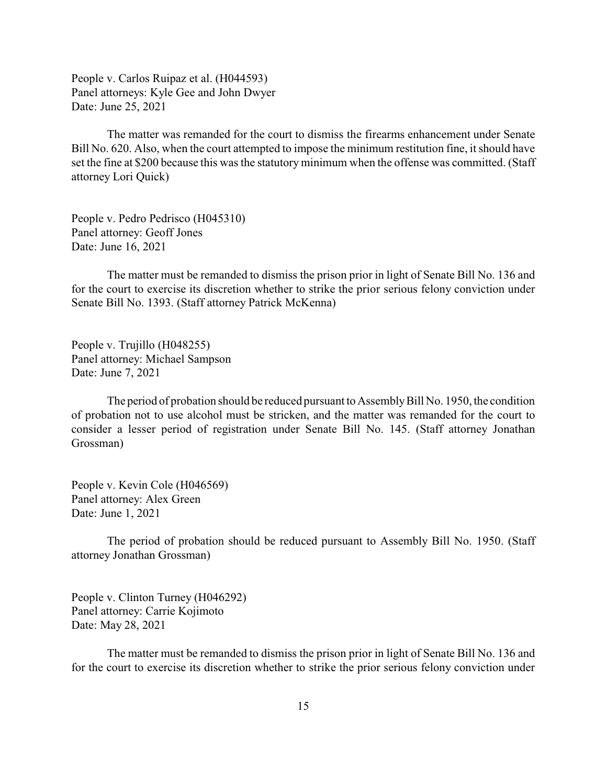People v. Carlos Ruipaz et al. (H044593) Panel attorneys: Kyle Gee and John Dwyer Date: June 25, 2021

The matter was remanded for the court to dismiss the firearms enhancement under Senate Bill No. 620. Also, when the court attempted to impose the minimum restitution fine, it should have set the fine at \$200 because this was the statutory minimum when the offense was committed. (Staff attorney Lori Quick)

People v. Pedro Pedrisco (H045310) Panel attorney: Geoff Jones Date: June 16, 2021

The matter must be remanded to dismiss the prison prior in light of Senate Bill No. 136 and for the court to exercise its discretion whether to strike the prior serious felony conviction under Senate Bill No. 1393. (Staff attorney Patrick McKenna)

People v. Trujillo (H048255) Panel attorney: Michael Sampson Date: June 7, 2021

The period of probation should be reduced pursuant to Assembly Bill No. 1950, the condition of probation not to use alcohol must be stricken, and the matter was remanded for the court to consider a lesser period of registration under Senate Bill No. 145. (Staff attorney Jonathan Grossman)

People v. Kevin Cole (H046569) Panel attorney: Alex Green Date: June 1, 2021

The period of probation should be reduced pursuant to Assembly Bill No. 1950. (Staff attorney Jonathan Grossman)

People v. Clinton Turney (H046292) Panel attorney: Carrie Kojimoto Date: May 28, 2021

The matter must be remanded to dismiss the prison prior in light of Senate Bill No. 136 and for the court to exercise its discretion whether to strike the prior serious felony conviction under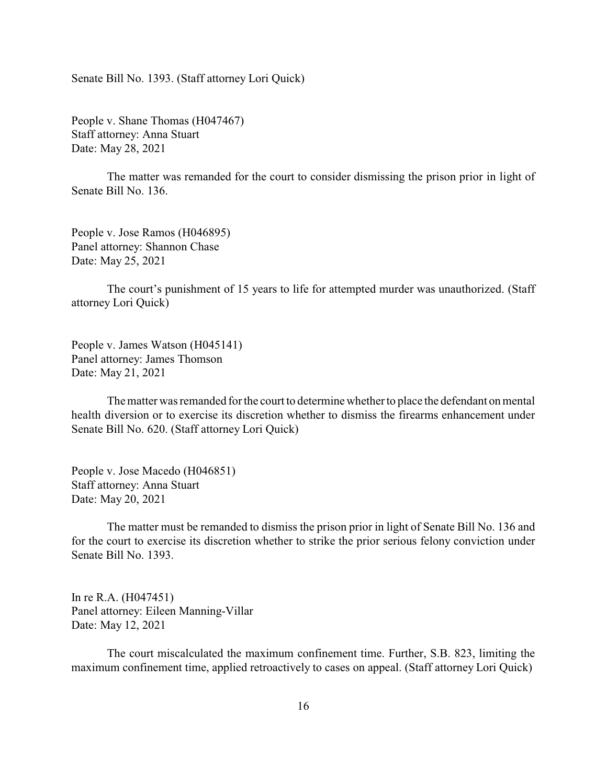Senate Bill No. 1393. (Staff attorney Lori Quick)

People v. Shane Thomas (H047467) Staff attorney: Anna Stuart Date: May 28, 2021

The matter was remanded for the court to consider dismissing the prison prior in light of Senate Bill No. 136.

People v. Jose Ramos (H046895) Panel attorney: Shannon Chase Date: May 25, 2021

The court's punishment of 15 years to life for attempted murder was unauthorized. (Staff attorney Lori Quick)

People v. James Watson (H045141) Panel attorney: James Thomson Date: May 21, 2021

The matter was remanded for the court to determine whether to place the defendant on mental health diversion or to exercise its discretion whether to dismiss the firearms enhancement under Senate Bill No. 620. (Staff attorney Lori Quick)

People v. Jose Macedo (H046851) Staff attorney: Anna Stuart Date: May 20, 2021

The matter must be remanded to dismiss the prison prior in light of Senate Bill No. 136 and for the court to exercise its discretion whether to strike the prior serious felony conviction under Senate Bill No. 1393.

In re R.A. (H047451) Panel attorney: Eileen Manning-Villar Date: May 12, 2021

The court miscalculated the maximum confinement time. Further, S.B. 823, limiting the maximum confinement time, applied retroactively to cases on appeal. (Staff attorney Lori Quick)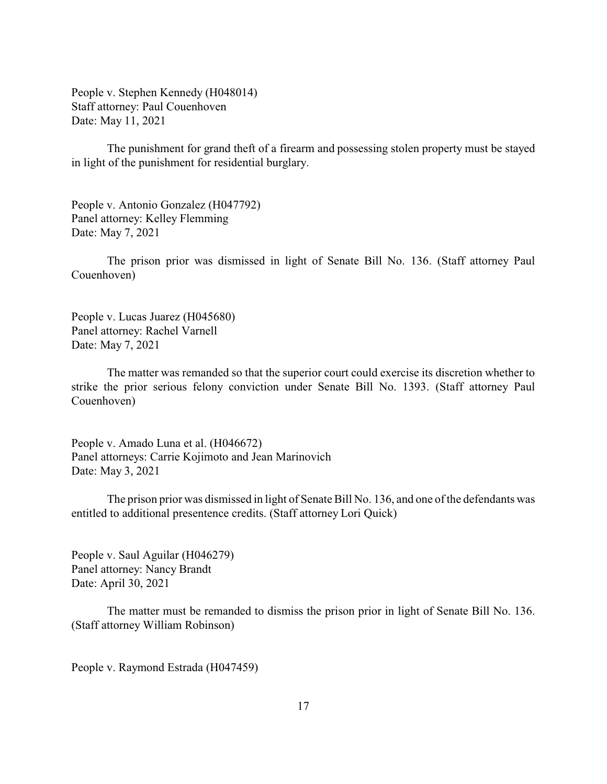People v. Stephen Kennedy (H048014) Staff attorney: Paul Couenhoven Date: May 11, 2021

The punishment for grand theft of a firearm and possessing stolen property must be stayed in light of the punishment for residential burglary.

People v. Antonio Gonzalez (H047792) Panel attorney: Kelley Flemming Date: May 7, 2021

The prison prior was dismissed in light of Senate Bill No. 136. (Staff attorney Paul Couenhoven)

People v. Lucas Juarez (H045680) Panel attorney: Rachel Varnell Date: May 7, 2021

The matter was remanded so that the superior court could exercise its discretion whether to strike the prior serious felony conviction under Senate Bill No. 1393. (Staff attorney Paul Couenhoven)

People v. Amado Luna et al. (H046672) Panel attorneys: Carrie Kojimoto and Jean Marinovich Date: May 3, 2021

The prison prior was dismissed in light of Senate Bill No. 136, and one of the defendants was entitled to additional presentence credits. (Staff attorney Lori Quick)

People v. Saul Aguilar (H046279) Panel attorney: Nancy Brandt Date: April 30, 2021

The matter must be remanded to dismiss the prison prior in light of Senate Bill No. 136. (Staff attorney William Robinson)

People v. Raymond Estrada (H047459)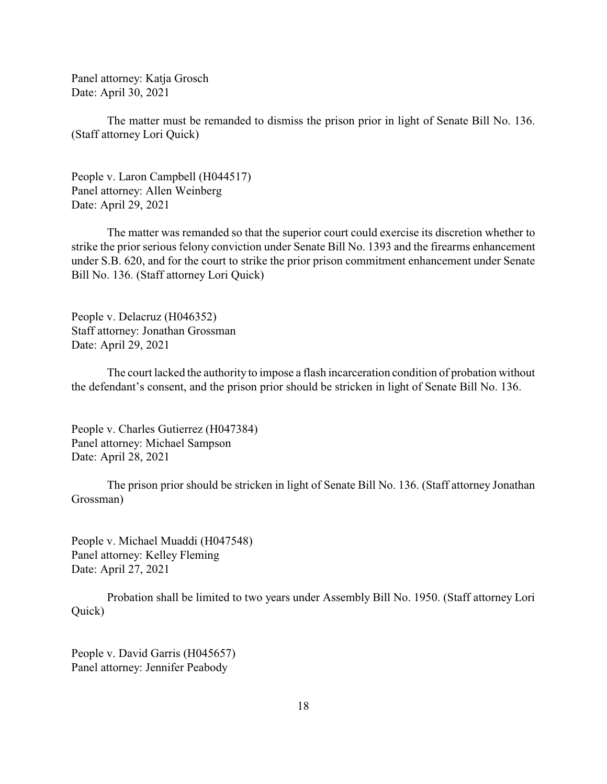Panel attorney: Katja Grosch Date: April 30, 2021

The matter must be remanded to dismiss the prison prior in light of Senate Bill No. 136. (Staff attorney Lori Quick)

People v. Laron Campbell (H044517) Panel attorney: Allen Weinberg Date: April 29, 2021

The matter was remanded so that the superior court could exercise its discretion whether to strike the prior serious felony conviction under Senate Bill No. 1393 and the firearms enhancement under S.B. 620, and for the court to strike the prior prison commitment enhancement under Senate Bill No. 136. (Staff attorney Lori Quick)

People v. Delacruz (H046352) Staff attorney: Jonathan Grossman Date: April 29, 2021

The court lacked the authority to impose a flash incarceration condition of probation without the defendant's consent, and the prison prior should be stricken in light of Senate Bill No. 136.

People v. Charles Gutierrez (H047384) Panel attorney: Michael Sampson Date: April 28, 2021

The prison prior should be stricken in light of Senate Bill No. 136. (Staff attorney Jonathan Grossman)

People v. Michael Muaddi (H047548) Panel attorney: Kelley Fleming Date: April 27, 2021

Probation shall be limited to two years under Assembly Bill No. 1950. (Staff attorney Lori Quick)

People v. David Garris (H045657) Panel attorney: Jennifer Peabody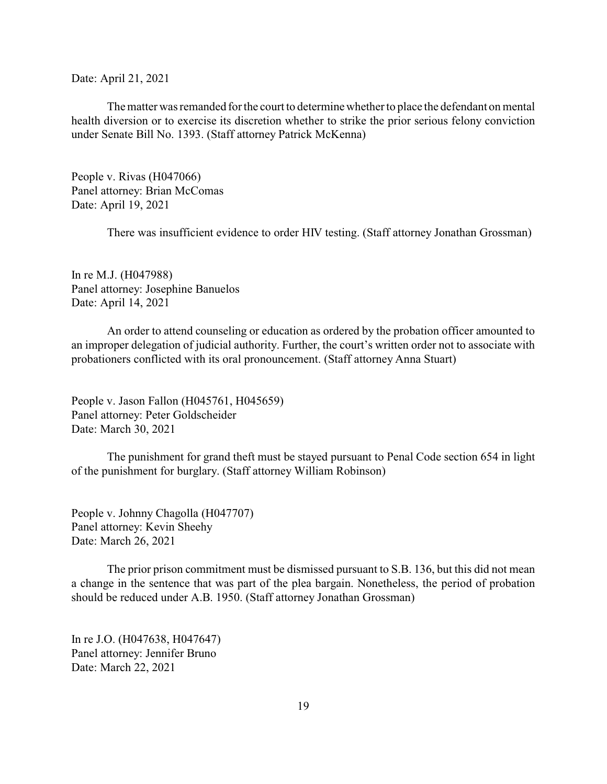Date: April 21, 2021

The matter was remanded for the court to determine whether to place the defendant on mental health diversion or to exercise its discretion whether to strike the prior serious felony conviction under Senate Bill No. 1393. (Staff attorney Patrick McKenna)

People v. Rivas (H047066) Panel attorney: Brian McComas Date: April 19, 2021

There was insufficient evidence to order HIV testing. (Staff attorney Jonathan Grossman)

In re M.J. (H047988) Panel attorney: Josephine Banuelos Date: April 14, 2021

An order to attend counseling or education as ordered by the probation officer amounted to an improper delegation of judicial authority. Further, the court's written order not to associate with probationers conflicted with its oral pronouncement. (Staff attorney Anna Stuart)

People v. Jason Fallon (H045761, H045659) Panel attorney: Peter Goldscheider Date: March 30, 2021

The punishment for grand theft must be stayed pursuant to Penal Code section 654 in light of the punishment for burglary. (Staff attorney William Robinson)

People v. Johnny Chagolla (H047707) Panel attorney: Kevin Sheehy Date: March 26, 2021

The prior prison commitment must be dismissed pursuant to S.B. 136, but this did not mean a change in the sentence that was part of the plea bargain. Nonetheless, the period of probation should be reduced under A.B. 1950. (Staff attorney Jonathan Grossman)

In re J.O. (H047638, H047647) Panel attorney: Jennifer Bruno Date: March 22, 2021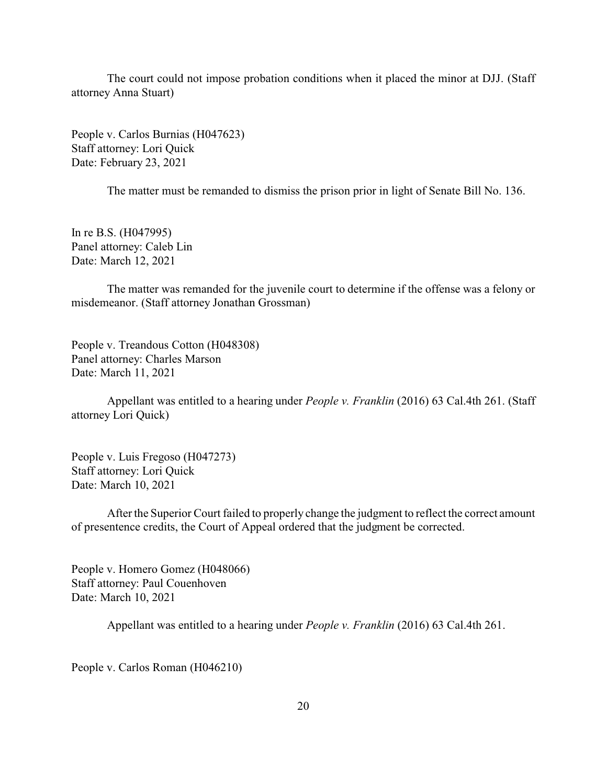The court could not impose probation conditions when it placed the minor at DJJ. (Staff attorney Anna Stuart)

People v. Carlos Burnias (H047623) Staff attorney: Lori Quick Date: February 23, 2021

The matter must be remanded to dismiss the prison prior in light of Senate Bill No. 136.

In re B.S. (H047995) Panel attorney: Caleb Lin Date: March 12, 2021

The matter was remanded for the juvenile court to determine if the offense was a felony or misdemeanor. (Staff attorney Jonathan Grossman)

People v. Treandous Cotton (H048308) Panel attorney: Charles Marson Date: March 11, 2021

Appellant was entitled to a hearing under *People v. Franklin* (2016) 63 Cal.4th 261. (Staff attorney Lori Quick)

People v. Luis Fregoso (H047273) Staff attorney: Lori Quick Date: March 10, 2021

After the Superior Court failed to properly change the judgment to reflect the correct amount of presentence credits, the Court of Appeal ordered that the judgment be corrected.

People v. Homero Gomez (H048066) Staff attorney: Paul Couenhoven Date: March 10, 2021

Appellant was entitled to a hearing under *People v. Franklin* (2016) 63 Cal.4th 261.

People v. Carlos Roman (H046210)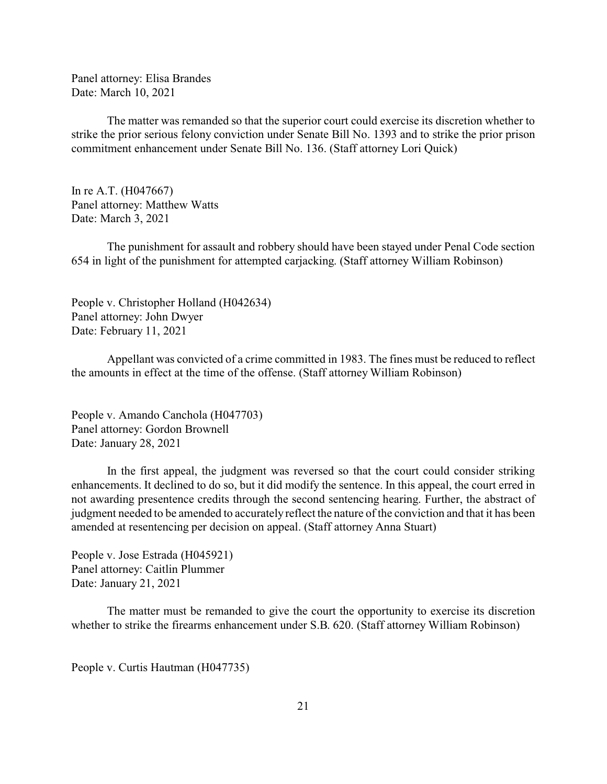<span id="page-20-0"></span>Panel attorney: Elisa Brandes Date: March 10, 2021

The matter was remanded so that the superior court could exercise its discretion whether to strike the prior serious felony conviction under Senate Bill No. 1393 and to strike the prior prison commitment enhancement under Senate Bill No. 136. (Staff attorney Lori Quick)

In re A.T. (H047667) Panel attorney: Matthew Watts Date: March 3, 2021

The punishment for assault and robbery should have been stayed under Penal Code section 654 in light of the punishment for attempted carjacking. (Staff attorney William Robinson)

People v. Christopher Holland (H042634) Panel attorney: John Dwyer Date: February 11, 2021

Appellant was convicted of a crime committed in 1983. The fines must be reduced to reflect the amounts in effect at the time of the offense. (Staff attorney William Robinson)

People v. Amando Canchola (H047703) Panel attorney: Gordon Brownell Date: January 28, 2021

In the first appeal, the judgment was reversed so that the court could consider striking enhancements. It declined to do so, but it did modify the sentence. In this appeal, the court erred in not awarding presentence credits through the second sentencing hearing. Further, the abstract of judgment needed to be amended to accuratelyreflect the nature of the conviction and that it has been amended at resentencing per decision on appeal. (Staff attorney Anna Stuart)

People v. Jose Estrada (H045921) Panel attorney: Caitlin Plummer Date: January 21, 2021

The matter must be remanded to give the court the opportunity to exercise its discretion whether to strike the firearms enhancement under S.B. 620. (Staff attorney William Robinson)

People v. Curtis Hautman (H047735)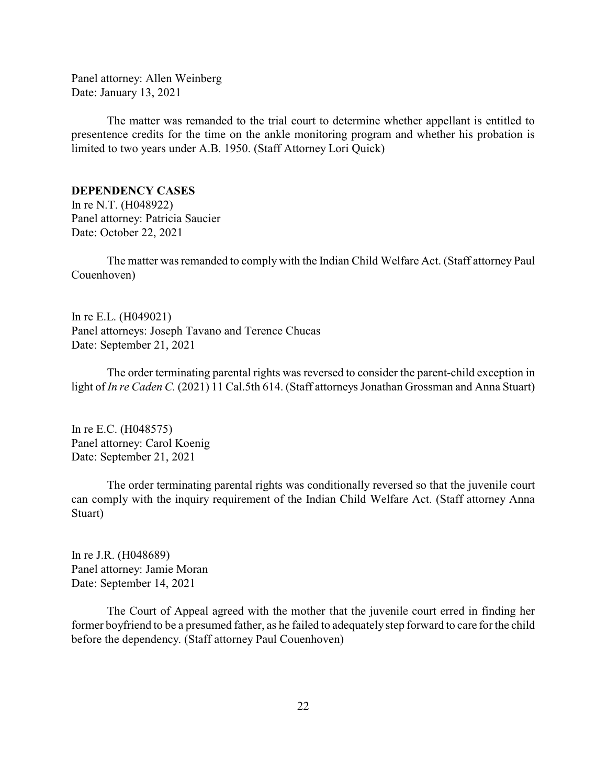Panel attorney: Allen Weinberg Date: January 13, 2021

The matter was remanded to the trial court to determine whether appellant is entitled to presentence credits for the time on the ankle monitoring program and whether his probation is limited to two years under A.B. 1950. (Staff Attorney Lori Quick)

# **DEPENDENCY CASES**

In re N.T. (H048922) Panel attorney: Patricia Saucier Date: October 22, 2021

The matter was remanded to comply with the Indian Child Welfare Act. (Staff attorney Paul Couenhoven)

In re E.L. (H049021) Panel attorneys: Joseph Tavano and Terence Chucas Date: September 21, 2021

The order terminating parental rights was reversed to consider the parent-child exception in light of *In re Caden C.* (2021) 11 Cal.5th 614. (Staff attorneys Jonathan Grossman and Anna Stuart)

In re E.C. (H048575) Panel attorney: Carol Koenig Date: September 21, 2021

The order terminating parental rights was conditionally reversed so that the juvenile court can comply with the inquiry requirement of the Indian Child Welfare Act. (Staff attorney Anna Stuart)

In re J.R. (H048689) Panel attorney: Jamie Moran Date: September 14, 2021

The Court of Appeal agreed with the mother that the juvenile court erred in finding her former boyfriend to be a presumed father, as he failed to adequately step forward to care for the child before the dependency. (Staff attorney Paul Couenhoven)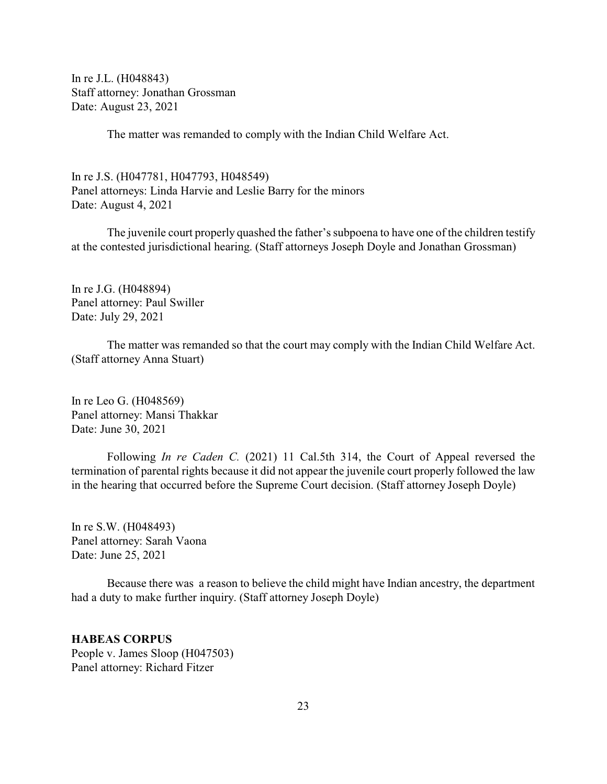<span id="page-22-0"></span>In re J.L. (H048843) Staff attorney: Jonathan Grossman Date: August 23, 2021

The matter was remanded to comply with the Indian Child Welfare Act.

In re J.S. (H047781, H047793, H048549) Panel attorneys: Linda Harvie and Leslie Barry for the minors Date: August 4, 2021

The juvenile court properly quashed the father's subpoena to have one of the children testify at the contested jurisdictional hearing. (Staff attorneys Joseph Doyle and Jonathan Grossman)

In re J.G. (H048894) Panel attorney: Paul Swiller Date: July 29, 2021

The matter was remanded so that the court may comply with the Indian Child Welfare Act. (Staff attorney Anna Stuart)

In re Leo G. (H048569) Panel attorney: Mansi Thakkar Date: June 30, 2021

Following *In re Caden C.* (2021) 11 Cal.5th 314, the Court of Appeal reversed the termination of parental rights because it did not appear the juvenile court properly followed the law in the hearing that occurred before the Supreme Court decision. (Staff attorney Joseph Doyle)

In re S.W. (H048493) Panel attorney: Sarah Vaona Date: June 25, 2021

Because there was a reason to believe the child might have Indian ancestry, the department had a duty to make further inquiry. (Staff attorney Joseph Doyle)

# **HABEAS CORPUS**

People v. James Sloop (H047503) Panel attorney: Richard Fitzer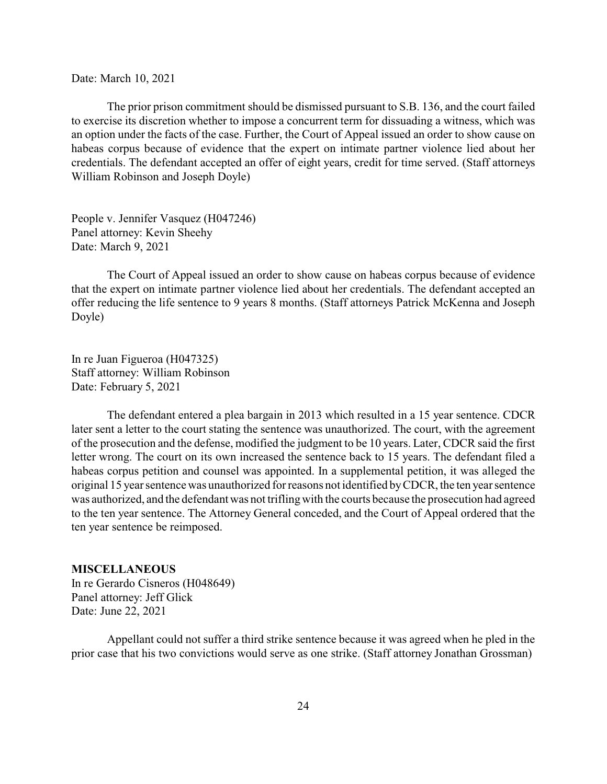<span id="page-23-0"></span>Date: March 10, 2021

The prior prison commitment should be dismissed pursuant to S.B. 136, and the court failed to exercise its discretion whether to impose a concurrent term for dissuading a witness, which was an option under the facts of the case. Further, the Court of Appeal issued an order to show cause on habeas corpus because of evidence that the expert on intimate partner violence lied about her credentials. The defendant accepted an offer of eight years, credit for time served. (Staff attorneys William Robinson and Joseph Doyle)

People v. Jennifer Vasquez (H047246) Panel attorney: Kevin Sheehy Date: March 9, 2021

The Court of Appeal issued an order to show cause on habeas corpus because of evidence that the expert on intimate partner violence lied about her credentials. The defendant accepted an offer reducing the life sentence to 9 years 8 months. (Staff attorneys Patrick McKenna and Joseph Doyle)

In re Juan Figueroa (H047325) Staff attorney: William Robinson Date: February 5, 2021

The defendant entered a plea bargain in 2013 which resulted in a 15 year sentence. CDCR later sent a letter to the court stating the sentence was unauthorized. The court, with the agreement of the prosecution and the defense, modified the judgment to be 10 years. Later, CDCR said the first letter wrong. The court on its own increased the sentence back to 15 years. The defendant filed a habeas corpus petition and counsel was appointed. In a supplemental petition, it was alleged the original 15 year sentence was unauthorized for reasons not identified byCDCR, the ten year sentence was authorized, and the defendant was not triflingwith the courts because the prosecution had agreed to the ten year sentence. The Attorney General conceded, and the Court of Appeal ordered that the ten year sentence be reimposed.

#### **MISCELLANEOUS**

In re Gerardo Cisneros (H048649) Panel attorney: Jeff Glick Date: June 22, 2021

Appellant could not suffer a third strike sentence because it was agreed when he pled in the prior case that his two convictions would serve as one strike. (Staff attorney Jonathan Grossman)